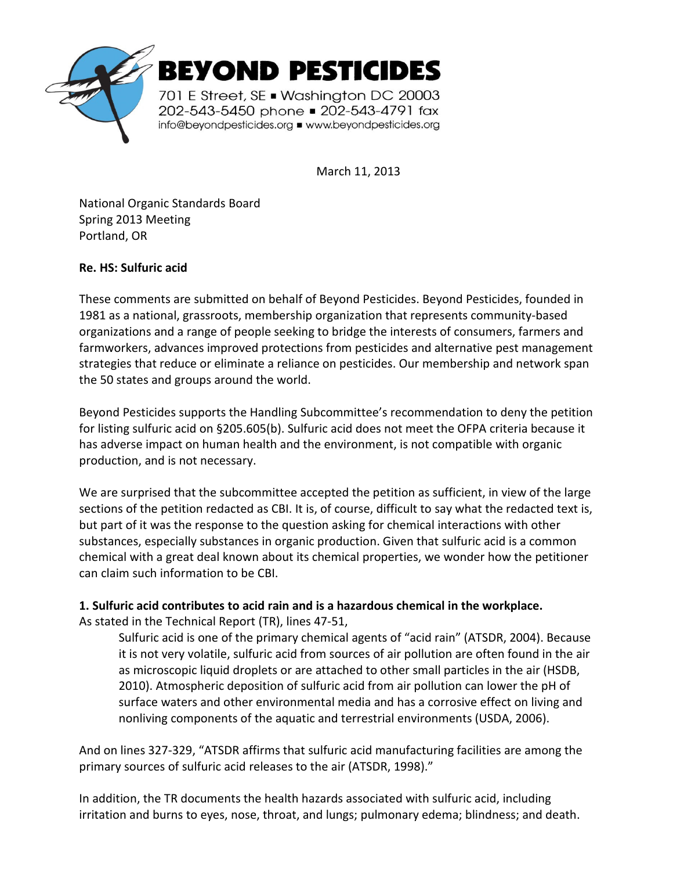

March 11, 2013

National Organic Standards Board Spring 2013 Meeting Portland, OR

## **Re. HS: Sulfuric acid**

These comments are submitted on behalf of Beyond Pesticides. Beyond Pesticides, founded in 1981 as a national, grassroots, membership organization that represents community-based organizations and a range of people seeking to bridge the interests of consumers, farmers and farmworkers, advances improved protections from pesticides and alternative pest management strategies that reduce or eliminate a reliance on pesticides. Our membership and network span the 50 states and groups around the world.

Beyond Pesticides supports the Handling Subcommittee's recommendation to deny the petition for listing sulfuric acid on §205.605(b). Sulfuric acid does not meet the OFPA criteria because it has adverse impact on human health and the environment, is not compatible with organic production, and is not necessary.

We are surprised that the subcommittee accepted the petition as sufficient, in view of the large sections of the petition redacted as CBI. It is, of course, difficult to say what the redacted text is, but part of it was the response to the question asking for chemical interactions with other substances, especially substances in organic production. Given that sulfuric acid is a common chemical with a great deal known about its chemical properties, we wonder how the petitioner can claim such information to be CBI.

**1. Sulfuric acid contributes to acid rain and is a hazardous chemical in the workplace.**  As stated in the Technical Report (TR), lines 47-51,

Sulfuric acid is one of the primary chemical agents of "acid rain" (ATSDR, 2004). Because it is not very volatile, sulfuric acid from sources of air pollution are often found in the air as microscopic liquid droplets or are attached to other small particles in the air (HSDB, 2010). Atmospheric deposition of sulfuric acid from air pollution can lower the pH of surface waters and other environmental media and has a corrosive effect on living and nonliving components of the aquatic and terrestrial environments (USDA, 2006).

And on lines 327-329, "ATSDR affirms that sulfuric acid manufacturing facilities are among the primary sources of sulfuric acid releases to the air (ATSDR, 1998)."

In addition, the TR documents the health hazards associated with sulfuric acid, including irritation and burns to eyes, nose, throat, and lungs; pulmonary edema; blindness; and death.